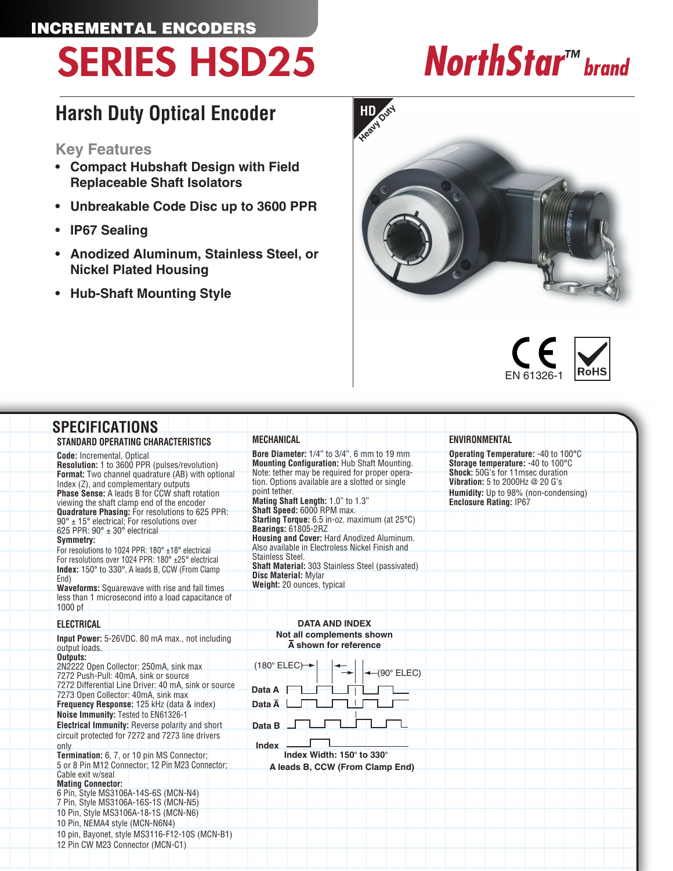## INCREMENTAL ENCODERS SERIES HSD25 *NorthStar™ brand*

## **Harsh Duty Optical Encoder**

### **Key Features**

- **• Compact Hubshaft Design with Field Replaceable Shaft Isolators**
- **• Unbreakable Code Disc up to 3600 PPR**
- **• IP67 Sealing**
- **• Anodized Aluminum, Stainless Steel, or Nickel Plated Housing**
- **• Hub-Shaft Mounting Style**





#### **SPECIFICATIONS STANDARD OPERATING CHARACTERISTICS Code:** Incremental, Optical **Resolution:** 1 to 3600 PPR (pulses/revolution) **Format:** Two channel quadrature (AB) with optional Index (Z), and complementary outputs **Phase Sense:** A leads B for CCW shaft rotation viewing the shaft clamp end of the encoder **Quadrature Phasing:** For resolutions to 625 PPR: 90° ± 15° electrical; For resolutions over 625 PPR: 90° ± 30° electrical **Symmetry:** For resolutions to 1024 PPR: 180° ±18° electrical For resolutions over 1024 PPR: 180° ±25° electrical **Index:** 150° to 330°, A leads B, CCW (From Clamp End) **Waveforms:** Squarewave with rise and fall times less than 1 microsecond into a load capacitance of 1000 pf **ELECTRICAL Input Power:** 5-26VDC. 80 mA max., not including output loads. **Outputs:**  2N2222 Open Collector: 250mA, sink max 7272 Push-Pull: 40mA, sink or source 7272 Differential Line Driver: 40 mA, sink or source 7273 Open Collector: 40mA, sink max **Frequency Response:** 125 kHz (data & index) **Noise Immunity:** Tested to EN61326-1 **Electrical Immunity:** Reverse polarity and short circuit protected for 7272 and 7273 line drivers only **Termination:** 6, 7, or 10 pin MS Connector; 5 or 8 Pin M12 Connector; 12 Pin M23 Connector; Cable exit w/seal **Mating Connector:** 6 Pin, Style MS3106A-14S-6S (MCN-N4) 7 Pin, Style MS3106A-16S-1S (MCN-N5) 10 Pin, Style MS3106A-18-1S (MCN-N6) 10 Pin, NEMA4 style (MCN-N6N4) 10 pin, Bayonet, style MS3116-F12-10S (MCN-B1) 12 Pin CW M23 Connector (MCN-C1) **Data A Data A Data B Index**  $(180^\circ \text{ ELEC})$   $\rightarrow$   $\rightarrow$   $\rightarrow$   $(90^\circ \text{ ELEC})$ **A leads B, CCW (From Clamp End) DATA AND INDEX Not all complements shown A shown for reference Index Width: 150**° **to 330**° **MECHANICAL Bore Diameter:** 1/4" to 3/4", 6 mm to 19 mm **Mounting Configuration:** Hub Shaft Mounting. Note: tether may be required for proper operation. Options available are a slotted or single point tether. **Mating Shaft Length:** 1.0" to 1.3" **Shaft Speed:** 6000 RPM max. **Starting Torque:** 6.5 in-oz. maximum (at 25°C) **Bearings:** 61805-2RZ **Housing and Cover:** Hard Anodized Aluminum. Also available in Electroless Nickel Finish and Stainless Steel. **Shaft Material:** 303 Stainless Steel (passivated) **Disc Material:** Mylar Weight: 20 ounces, typical **ENVIRONMENTAL Operating Temperature:** -40 to 100°C **Storage temperature:** -40 to 100°C **Shock:** 50G's for 11msec duration **Vibration:** 5 to 2000Hz @ 20 G's **Humidity:** Up to 98% (non-condensing) **Enclosure Rating:** IP67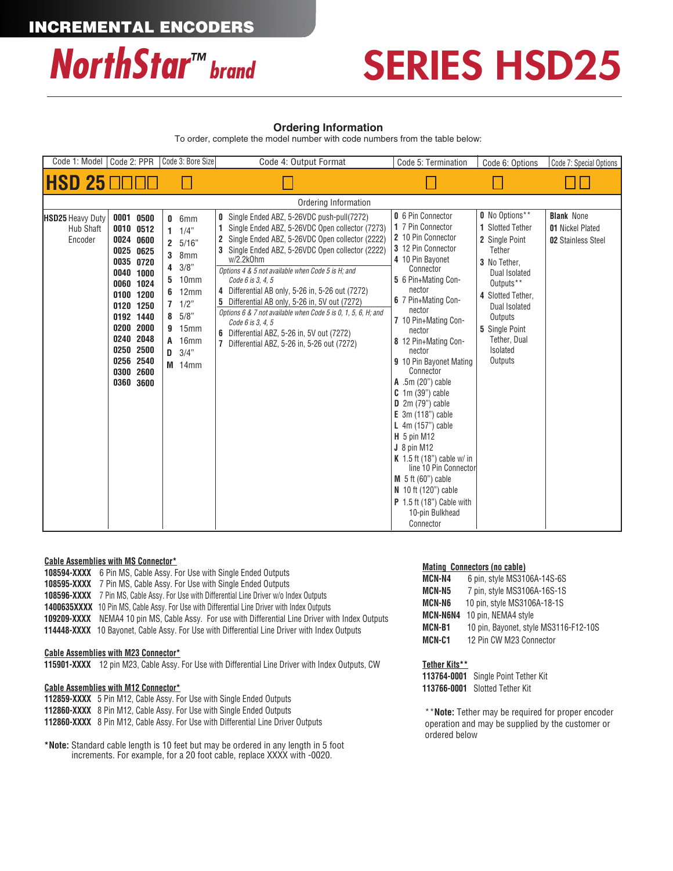

## SERIES HSD25

#### **Ordering Information**

To order, complete the model number with code numbers from the table below:

| Code 1: Model                                          | Code 2: PPR                                                                                                                                                                                                  | Code 3: Bore Size                                                                                                                                                                                    | Code 4: Output Format                                                                                                                                                                                                                                                                                                                                                                                                                                                                                                                                                                                   | Code 5: Termination                                                                                                                                                                                                                                                                                                                                                                                                                                                                                                                                                                                                           | Code 6: Options                                                                                                                                                                                                                      | Code 7: Special Options                                                   |
|--------------------------------------------------------|--------------------------------------------------------------------------------------------------------------------------------------------------------------------------------------------------------------|------------------------------------------------------------------------------------------------------------------------------------------------------------------------------------------------------|---------------------------------------------------------------------------------------------------------------------------------------------------------------------------------------------------------------------------------------------------------------------------------------------------------------------------------------------------------------------------------------------------------------------------------------------------------------------------------------------------------------------------------------------------------------------------------------------------------|-------------------------------------------------------------------------------------------------------------------------------------------------------------------------------------------------------------------------------------------------------------------------------------------------------------------------------------------------------------------------------------------------------------------------------------------------------------------------------------------------------------------------------------------------------------------------------------------------------------------------------|--------------------------------------------------------------------------------------------------------------------------------------------------------------------------------------------------------------------------------------|---------------------------------------------------------------------------|
| IHSD 25 OOOD                                           |                                                                                                                                                                                                              |                                                                                                                                                                                                      |                                                                                                                                                                                                                                                                                                                                                                                                                                                                                                                                                                                                         |                                                                                                                                                                                                                                                                                                                                                                                                                                                                                                                                                                                                                               |                                                                                                                                                                                                                                      |                                                                           |
|                                                        |                                                                                                                                                                                                              |                                                                                                                                                                                                      | Ordering Information                                                                                                                                                                                                                                                                                                                                                                                                                                                                                                                                                                                    |                                                                                                                                                                                                                                                                                                                                                                                                                                                                                                                                                                                                                               |                                                                                                                                                                                                                                      |                                                                           |
| <b>HSD25 Heavy Duty</b><br><b>Hub Shaft</b><br>Encoder | 0001 0500<br>0010 0512<br>0024 0600<br>0025 0625<br>0035 0720<br>0040 1000<br>0060 1024<br>0100 1200<br>0120 1250<br>0192 1440<br>0200 2000<br>0240 2048<br>0250 2500<br>0256 2540<br>0300 2600<br>0360 3600 | $0.6$ mm<br>$1 \t1/4$ "<br>2 5/16"<br>8mm<br>3<br>3/8"<br>4<br>10 <sub>mm</sub><br>5<br>12mm<br>6<br>1/2"<br>$\overline{7}$<br>$8 \t 5/8$<br><b>9</b> 15mm<br><b>A</b> 16mm<br>3/4"<br>D<br>$M$ 14mm | <b>0</b> Single Ended ABZ, 5-26VDC push-pull(7272)<br>Single Ended ABZ, 5-26VDC Open collector (7273)<br>2 Single Ended ABZ, 5-26VDC Open collector (2222)<br>3 Single Ended ABZ, 5-26VDC Open collector (2222)<br>w/2.2k0hm<br>Options 4 & 5 not available when Code 5 is H; and<br>Code 6 is 3, 4, 5<br>4 Differential AB only, 5-26 in, 5-26 out (7272)<br><b>5</b> Differential AB only, 5-26 in, 5V out (7272)<br>Options 6 & 7 not available when Code 5 is 0, 1, 5, 6, H; and<br>Code 6 is 3, 4, 5<br>6 Differential ABZ, 5-26 in, 5V out (7272)<br>7 Differential ABZ, 5-26 in, 5-26 out (7272) | 0 6 Pin Connector<br>1 7 Pin Connector<br>2 10 Pin Connector<br>3 12 Pin Connector<br>4 10 Pin Bayonet<br>Connector<br>5 6 Pin+Mating Con-<br>nector<br>6 7 Pin+Mating Con-<br>nector<br>7 10 Pin+Mating Con-<br>nector<br>8 12 Pin+Mating Con-<br>nector<br>9 10 Pin Bayonet Mating<br>Connector<br>A .5m (20") cable<br>$C \cdot 1m$ (39") cable<br>$D$ 2m (79") cable<br>$E$ 3m (118") cable<br>L $4m(157")$ cable<br>$H$ 5 pin M12<br>$J_8$ pin M12<br>K 1.5 ft (18") cable w/ in<br>line 10 Pin Connector<br>$M$ 5 ft (60") cable<br>N 10 ft (120") cable<br>$P$ 1.5 ft (18") Cable with<br>10-pin Bulkhead<br>Connector | 0 No Options**<br>1 Slotted Tether<br>2 Single Point<br>Tether<br>3 No Tether.<br>Dual Isolated<br>Outputs**<br>4 Slotted Tether.<br><b>Dual Isolated</b><br>Outputs<br>5 Single Point<br>Tether, Dual<br><b>Isolated</b><br>Outputs | <b>Blank None</b><br><b>01 Nickel Plated</b><br><b>02 Stainless Steel</b> |

#### **Cable Assemblies with MS Connector\***

**108594-XXXX** 6 Pin MS, Cable Assy. For Use with Single Ended Outputs **108595-XXXX** 7 Pin MS, Cable Assy. For Use with Single Ended Outputs **108596-XXXX** 7 Pin MS, Cable Assy. For Use with Differential Line Driver w/o Index Outputs **1400635XXXX** 10 Pin MS, Cable Assy. For Use with Differential Line Driver with Index Outputs  **109209-XXXX** NEMA4 10 pin MS, Cable Assy. For use with Differential Line Driver with Index Outputs **114448-XXXX** 10 Bayonet, Cable Assy. For Use with Differential Line Driver with Index Outputs

#### **Cable Assemblies with M23 Connector\***

 **115901-XXXX** 12 pin M23, Cable Assy. For Use with Differential Line Driver with Index Outputs, CW

#### **Cable Assemblies with M12 Connector\***

**112859-XXXX** 5 Pin M12, Cable Assy. For Use with Single Ended Outputs **112860-XXXX** 8 Pin M12, Cable Assy. For Use with Single Ended Outputs **112860-XXXX** 8 Pin M12, Cable Assy. For Use with Differential Line Driver Outputs

 **\*Note:** Standard cable length is 10 feet but may be ordered in any length in 5 foot increments. For example, for a 20 foot cable, replace XXXX with -0020.

#### **Mating Connectors (no cable)**

| MCN-N4        | 6 pin, style MS3106A-14S-6S           |
|---------------|---------------------------------------|
| MCN-N5        | 7 pin, style MS3106A-16S-1S           |
| <b>MCN-N6</b> | 10 pin, style MS3106A-18-1S           |
| MCN-N6N4      | 10 pin, NEMA4 style                   |
| <b>MCN-B1</b> | 10 pin, Bayonet, style MS3116-F12-10S |
| MCN-C1        | 12 Pin CW M23 Connector               |

#### **Tether Kits\*\***

**113764-0001** Single Point Tether Kit **113766-0001** Slotted Tether Kit

\*\***Note:** Tether may be required for proper encoder operation and may be supplied by the customer or ordered below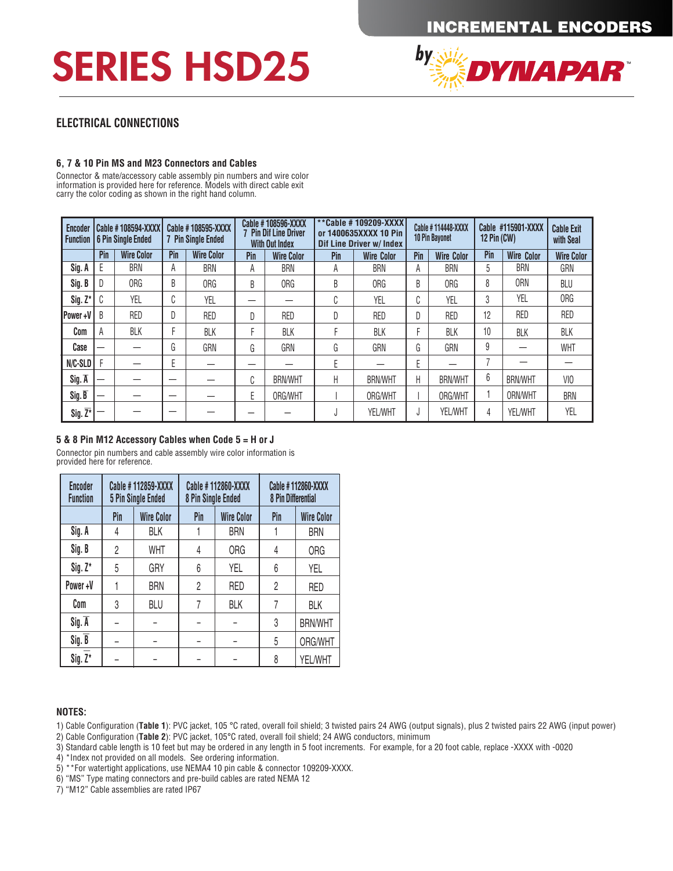# SERIES HSD25



### **ELECTRICAL CONNECTIONS**

#### **6, 7 & 10 Pin MS and M23 Connectors and Cables**

Connector & mate/accessory cable assembly pin numbers and wire color **EXITED IS A PIN DIRECT CONDUCTED 6 PIN SINGLE AND THE LINE OF SINGLE AND SINGLE AND SINGLE AND SINGLE AND SINGLE EXITED FOR DRIVIAL BLACK CADLE EXITED FOR DRIVIAL BLACK CADLE EXITED FOR DRIVIAL BLACK CADLE EXITED FOR DR** carry the color coding as shown in the right hand column.

A

BRN

A

**BRANCH** 

| Encoder<br><b>Function</b> |     | <b>Cable #108594-XXXX</b><br>6 Pin Single Ended |        | Cable #108595-XXXX<br><b>7 Pin Single Ended</b> |     | Cable #108596-XXXX<br>7 Pin Dif Line Driver<br><b>With Out Index</b> |             | **Cable #109209-XXXX<br>or 1400635XXXX 10 Pin<br><b>Dif Line Driver w/ Index</b> |              | Cable #114448-XXXX<br><b>10 Pin Bayonet</b> | 12 $Pin (CW)$ | Cable #115901-XXXX | <b>Cable Exit</b><br>with Seal |
|----------------------------|-----|-------------------------------------------------|--------|-------------------------------------------------|-----|----------------------------------------------------------------------|-------------|----------------------------------------------------------------------------------|--------------|---------------------------------------------|---------------|--------------------|--------------------------------|
|                            | Pin | <b>Wire Color</b>                               | Pin    | <b>Wire Color</b>                               | Pin | <b>Wire Color</b>                                                    | Pin         | <b>Wire Color</b>                                                                | Pin          | <b>Wire Color</b>                           | Pin           | <b>Wire Color</b>  | <b>Wire Color</b>              |
| Sig. A                     | E   | <b>BRN</b>                                      | A      | BRN                                             | Α   | <b>BRN</b>                                                           | А           | <b>BRN</b>                                                                       | A            | <b>BRN</b>                                  | 5             | BRN                | GRN                            |
| Sig. B                     | D   | ORG                                             | B      | ORG                                             | B   | 0RG                                                                  | B           | ORG                                                                              | B            | ORG                                         | 8             | <b>ORN</b>         | BLU                            |
| $Sig. Z^*$                 | C   | YEL                                             | ⌒<br>U | YEL                                             |     |                                                                      | $\sim$<br>U | YEL                                                                              | $\sim$<br>U. | YEL                                         | 3             | YEL                | ORG                            |
| Power+V                    | B   | <b>RED</b>                                      | D      | <b>RED</b>                                      | D   | <b>RED</b>                                                           | D           | <b>RED</b>                                                                       |              | <b>RED</b>                                  | 12            | <b>RED</b>         | <b>RED</b>                     |
| Com                        | A   | BLK                                             |        | <b>BLK</b>                                      | г   | <b>BLK</b>                                                           |             | <b>BLK</b>                                                                       |              | <b>BLK</b>                                  | 10            | BLK                | <b>BLK</b>                     |
| Case                       | —   |                                                 | G      | GRN                                             | G   | GRN                                                                  | G           | GRN                                                                              | G.           | GRN                                         | 9             |                    | <b>WHT</b>                     |
| N/C-SLD                    |     |                                                 | Е      |                                                 | –   |                                                                      | Е           |                                                                                  |              |                                             |               |                    |                                |
| $Sig.\overline{A}$         |     |                                                 | –      |                                                 | C   | <b>BRN/WHT</b>                                                       | Н           | <b>BRN/WHT</b>                                                                   | Н            | <b>BRN/WHT</b>                              | 6             | <b>BRN/WHT</b>     | VIO                            |
| Sig.B                      | —   |                                                 | –      |                                                 | E   | ORG/WHT                                                              |             | ORG/WHT                                                                          |              | ORG/WHT                                     |               | ORN/WHT            | <b>BRN</b>                     |
| $Sig. \overline{Z^*}$      |     |                                                 |        |                                                 |     |                                                                      | J           | YEL/WHT                                                                          | J            | <b>YEL/WHT</b>                              | 4             | YEL/WHT            | YEL                            |

BRN

**A** 

**BRANCH** 

5

**BRANCH** 

GRN

#### **5 & 8 Pin M12 Accessory Cables when Code 5 = H or J**

Connector pin numbers and cable assembly wire color information is provided here for reference.

| <b>Encoder</b><br><b>Function</b> | Cable #112859-XXXX<br><b>5 Pin Single Ended</b> |                   | 8 Pin Single Ended | Cable #112860-XXXX | Cable #112860-XXXX<br>8 Pin Differential |                   |  |
|-----------------------------------|-------------------------------------------------|-------------------|--------------------|--------------------|------------------------------------------|-------------------|--|
|                                   | Pin                                             | <b>Wire Color</b> | Pin                | <b>Wire Color</b>  | Pin                                      | <b>Wire Color</b> |  |
| Sig. A                            | 4                                               | <b>BLK</b>        |                    | <b>BRN</b>         |                                          | <b>BRN</b>        |  |
| Sig. B                            | $\overline{2}$                                  | <b>WHT</b>        | 4                  | <b>ORG</b>         | 4                                        | <b>ORG</b>        |  |
| $Sig. Z^*$                        | 5                                               | GRY               | 6                  | YEL                | 6                                        | YEL               |  |
| Power+V                           |                                                 | <b>BRN</b>        | $\overline{c}$     | <b>RED</b>         | $\overline{c}$                           | <b>RED</b>        |  |
| Com                               | 3                                               | <b>BLU</b>        | 7                  | <b>BLK</b>         | 7                                        | <b>BLK</b>        |  |
| $Sig.\overline{A}$                |                                                 |                   |                    |                    | 3                                        | <b>BRN/WHT</b>    |  |
| Sig. B                            |                                                 |                   |                    |                    | 5                                        | ORG/WHT           |  |
| $Sig. Z^*$                        |                                                 | -                 | -                  |                    | 8                                        | YEL/WHT           |  |

#### **NOTES:**

1) Cable Configuration (Table 1): PVC jacket, 105 °C rated, overall foil shield; 3 twisted pairs 24 AWG (output signals), plus 2 twisted pairs 22 AWG (input power)

2) Cable Configuration (**Table 2**): PVC jacket, 105°C rated, overall foil shield; 24 AWG conductors, minimum<br>2) Cable Configuration (**Table 2**): PVC jacket, 105°C rated, overall foil shield; 24 AWG conductors, minimum

3) Standard cable length is 10 feet but may be ordered in any length in 5 foot increments. For example, for a 20 foot cable, replace -XXXX with -0020<br>-

4) \*Index not provided on all models. See ordering information.

5) \*\*For watertight applications, use NEMA4 10 pin cable & connector 109209-XXXX. YEL<sub>L</sub>WHT

6) "MS" Type mating connectors and pre-build cables are rated NEMA 12

7) "M12" Cable assemblies are rated IP67